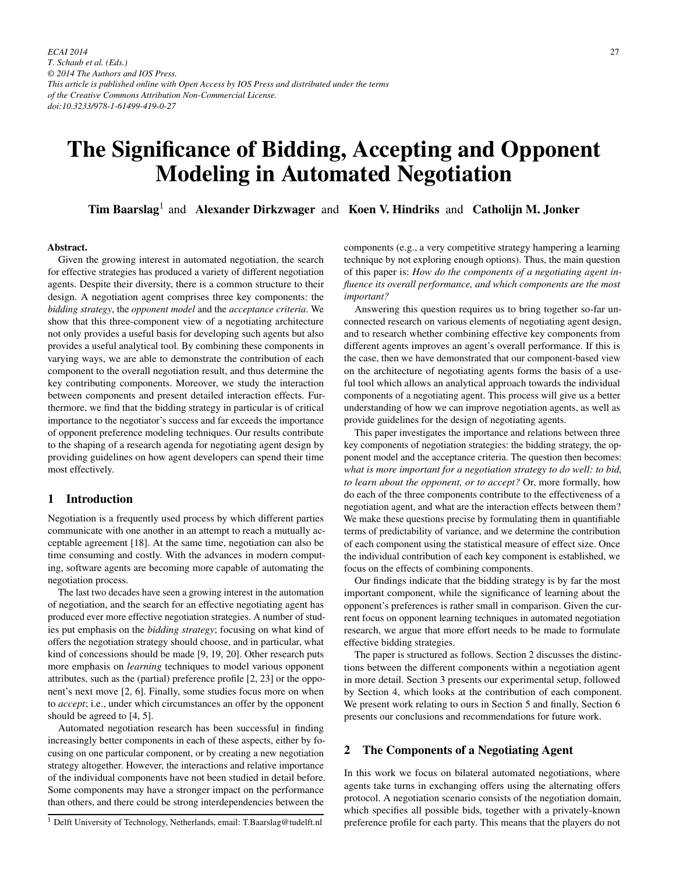# The Significance of Bidding, Accepting and Opponent Modeling in Automated Negotiation

Tim Baarslag<sup>1</sup> and Alexander Dirkzwager and Koen V. Hindriks and Catholijn M. Jonker

#### Abstract.

Given the growing interest in automated negotiation, the search for effective strategies has produced a variety of different negotiation agents. Despite their diversity, there is a common structure to their design. A negotiation agent comprises three key components: the *bidding strategy*, the *opponent model* and the *acceptance criteria*. We show that this three-component view of a negotiating architecture not only provides a useful basis for developing such agents but also provides a useful analytical tool. By combining these components in varying ways, we are able to demonstrate the contribution of each component to the overall negotiation result, and thus determine the key contributing components. Moreover, we study the interaction between components and present detailed interaction effects. Furthermore, we find that the bidding strategy in particular is of critical importance to the negotiator's success and far exceeds the importance of opponent preference modeling techniques. Our results contribute to the shaping of a research agenda for negotiating agent design by providing guidelines on how agent developers can spend their time most effectively.

# 1 Introduction

Negotiation is a frequently used process by which different parties communicate with one another in an attempt to reach a mutually acceptable agreement [18]. At the same time, negotiation can also be time consuming and costly. With the advances in modern computing, software agents are becoming more capable of automating the negotiation process.

The last two decades have seen a growing interest in the automation of negotiation, and the search for an effective negotiating agent has produced ever more effective negotiation strategies. A number of studies put emphasis on the *bidding strategy*; focusing on what kind of offers the negotiation strategy should choose, and in particular, what kind of concessions should be made [9, 19, 20]. Other research puts more emphasis on *learning* techniques to model various opponent attributes, such as the (partial) preference profile [2, 23] or the opponent's next move [2, 6]. Finally, some studies focus more on when to *accept*; i.e., under which circumstances an offer by the opponent should be agreed to [4, 5].

Automated negotiation research has been successful in finding increasingly better components in each of these aspects, either by focusing on one particular component, or by creating a new negotiation strategy altogether. However, the interactions and relative importance of the individual components have not been studied in detail before. Some components may have a stronger impact on the performance than others, and there could be strong interdependencies between the

<sup>1</sup> Delft University of Technology, Netherlands, email: T.Baarslag@tudelft.nl

components (e.g., a very competitive strategy hampering a learning technique by not exploring enough options). Thus, the main question of this paper is: *How do the components of a negotiating agent influence its overall performance, and which components are the most important?*

Answering this question requires us to bring together so-far unconnected research on various elements of negotiating agent design, and to research whether combining effective key components from different agents improves an agent's overall performance. If this is the case, then we have demonstrated that our component-based view on the architecture of negotiating agents forms the basis of a useful tool which allows an analytical approach towards the individual components of a negotiating agent. This process will give us a better understanding of how we can improve negotiation agents, as well as provide guidelines for the design of negotiating agents.

This paper investigates the importance and relations between three key components of negotiation strategies: the bidding strategy, the opponent model and the acceptance criteria. The question then becomes: *what is more important for a negotiation strategy to do well: to bid, to learn about the opponent, or to accept?* Or, more formally, how do each of the three components contribute to the effectiveness of a negotiation agent, and what are the interaction effects between them? We make these questions precise by formulating them in quantifiable terms of predictability of variance, and we determine the contribution of each component using the statistical measure of effect size. Once the individual contribution of each key component is established, we focus on the effects of combining components.

Our findings indicate that the bidding strategy is by far the most important component, while the significance of learning about the opponent's preferences is rather small in comparison. Given the current focus on opponent learning techniques in automated negotiation research, we argue that more effort needs to be made to formulate effective bidding strategies.

The paper is structured as follows. Section 2 discusses the distinctions between the different components within a negotiation agent in more detail. Section 3 presents our experimental setup, followed by Section 4, which looks at the contribution of each component. We present work relating to ours in Section 5 and finally, Section 6 presents our conclusions and recommendations for future work.

## 2 The Components of a Negotiating Agent

In this work we focus on bilateral automated negotiations, where agents take turns in exchanging offers using the alternating offers protocol. A negotiation scenario consists of the negotiation domain, which specifies all possible bids, together with a privately-known preference profile for each party. This means that the players do not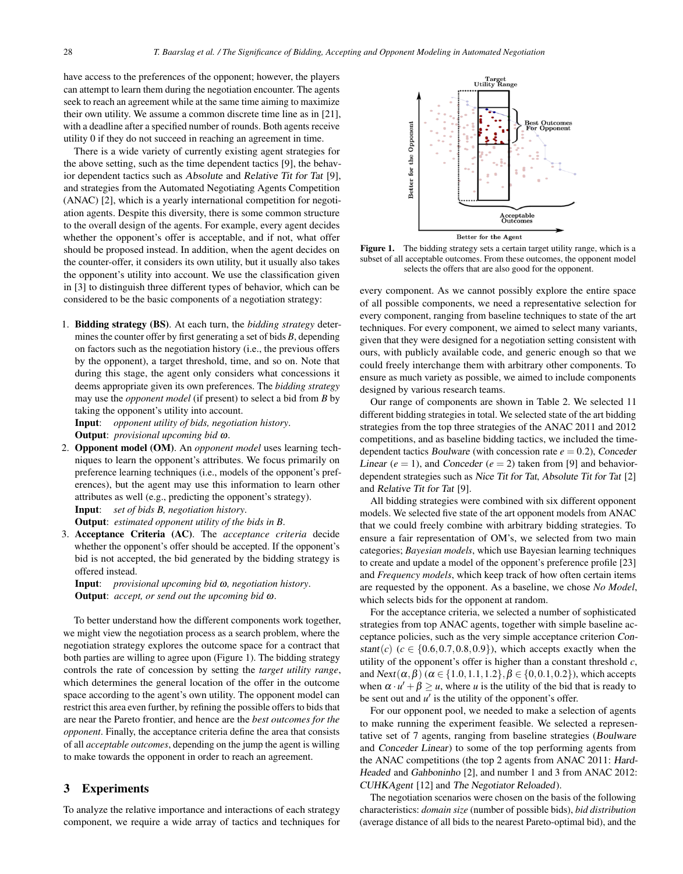have access to the preferences of the opponent; however, the players can attempt to learn them during the negotiation encounter. The agents seek to reach an agreement while at the same time aiming to maximize their own utility. We assume a common discrete time line as in [21], with a deadline after a specified number of rounds. Both agents receive utility 0 if they do not succeed in reaching an agreement in time.

There is a wide variety of currently existing agent strategies for the above setting, such as the time dependent tactics [9], the behavior dependent tactics such as *Absolute* and *Relative Tit for Tat* [9], and strategies from the Automated Negotiating Agents Competition (ANAC) [2], which is a yearly international competition for negotiation agents. Despite this diversity, there is some common structure to the overall design of the agents. For example, every agent decides whether the opponent's offer is acceptable, and if not, what offer should be proposed instead. In addition, when the agent decides on the counter-offer, it considers its own utility, but it usually also takes the opponent's utility into account. We use the classification given in [3] to distinguish three different types of behavior, which can be considered to be the basic components of a negotiation strategy:

1. Bidding strategy (BS). At each turn, the *bidding strategy* determines the counter offer by first generating a set of bids *B*, depending on factors such as the negotiation history (i.e., the previous offers by the opponent), a target threshold, time, and so on. Note that during this stage, the agent only considers what concessions it deems appropriate given its own preferences. The *bidding strategy* may use the *opponent model* (if present) to select a bid from *B* by taking the opponent's utility into account.

Input: *opponent utility of bids, negotiation history*. Output: *provisional upcoming bid* ω.

2. Opponent model (OM). An *opponent model* uses learning techniques to learn the opponent's attributes. We focus primarily on preference learning techniques (i.e., models of the opponent's preferences), but the agent may use this information to learn other attributes as well (e.g., predicting the opponent's strategy). Input: *set of bids B, negotiation history*.

Output: *estimated opponent utility of the bids in B*.

3. Acceptance Criteria (AC). The *acceptance criteria* decide whether the opponent's offer should be accepted. If the opponent's bid is not accepted, the bid generated by the bidding strategy is offered instead.

Input: *provisional upcoming bid* ω*, negotiation history*. Output: *accept, or send out the upcoming bid* ω.

To better understand how the different components work together, we might view the negotiation process as a search problem, where the negotiation strategy explores the outcome space for a contract that both parties are willing to agree upon (Figure 1). The bidding strategy controls the rate of concession by setting the *target utility range*, which determines the general location of the offer in the outcome space according to the agent's own utility. The opponent model can restrict this area even further, by refining the possible offers to bids that are near the Pareto frontier, and hence are the *best outcomes for the opponent*. Finally, the acceptance criteria define the area that consists of all *acceptable outcomes*, depending on the jump the agent is willing to make towards the opponent in order to reach an agreement.

## 3 Experiments

To analyze the relative importance and interactions of each strategy component, we require a wide array of tactics and techniques for



Figure 1. The bidding strategy sets a certain target utility range, which is a subset of all acceptable outcomes. From these outcomes, the opponent model selects the offers that are also good for the opponent.

every component. As we cannot possibly explore the entire space of all possible components, we need a representative selection for every component, ranging from baseline techniques to state of the art techniques. For every component, we aimed to select many variants, given that they were designed for a negotiation setting consistent with ours, with publicly available code, and generic enough so that we could freely interchange them with arbitrary other components. To ensure as much variety as possible, we aimed to include components designed by various research teams.

Our range of components are shown in Table 2. We selected 11 different bidding strategies in total. We selected state of the art bidding strategies from the top three strategies of the ANAC 2011 and 2012 competitions, and as baseline bidding tactics, we included the timedependent tactics *Boulware* (with concession rate *e* = 0.2), *Conceder Linear* ( $e = 1$ ), and *Conceder* ( $e = 2$ ) taken from [9] and behaviordependent strategies such as *Nice Tit for Tat*, *Absolute Tit for Tat* [2] and *Relative Tit for Tat* [9].

All bidding strategies were combined with six different opponent models. We selected five state of the art opponent models from ANAC that we could freely combine with arbitrary bidding strategies. To ensure a fair representation of OM's, we selected from two main categories; *Bayesian models*, which use Bayesian learning techniques to create and update a model of the opponent's preference profile [23] and *Frequency models*, which keep track of how often certain items are requested by the opponent. As a baseline, we chose *No Model*, which selects bids for the opponent at random.

For the acceptance criteria, we selected a number of sophisticated strategies from top ANAC agents, together with simple baseline acceptance policies, such as the very simple acceptance criterion *Constant*(*c*) ( $c \in \{0.6, 0.7, 0.8, 0.9\}$ ), which accepts exactly when the utility of the opponent's offer is higher than a constant threshold *c*, and *Next*( $\alpha, \beta$ ) ( $\alpha \in \{1.0, 1.1, 1.2\}, \beta \in \{0.0.1, 0.2\}$ ), which accepts when  $\alpha \cdot u' + \beta \geq u$ , where *u* is the utility of the bid that is ready to be sent out and  $u'$  is the utility of the opponent's offer.

For our opponent pool, we needed to make a selection of agents to make running the experiment feasible. We selected a representative set of 7 agents, ranging from baseline strategies (*Boulware* and *Conceder Linear*) to some of the top performing agents from the ANAC competitions (the top 2 agents from ANAC 2011: *Hard-Headed* and *Gahboninho* [2], and number 1 and 3 from ANAC 2012: *CUHKAgent* [12] and *The Negotiator Reloaded*).

The negotiation scenarios were chosen on the basis of the following characteristics: *domain size* (number of possible bids), *bid distribution* (average distance of all bids to the nearest Pareto-optimal bid), and the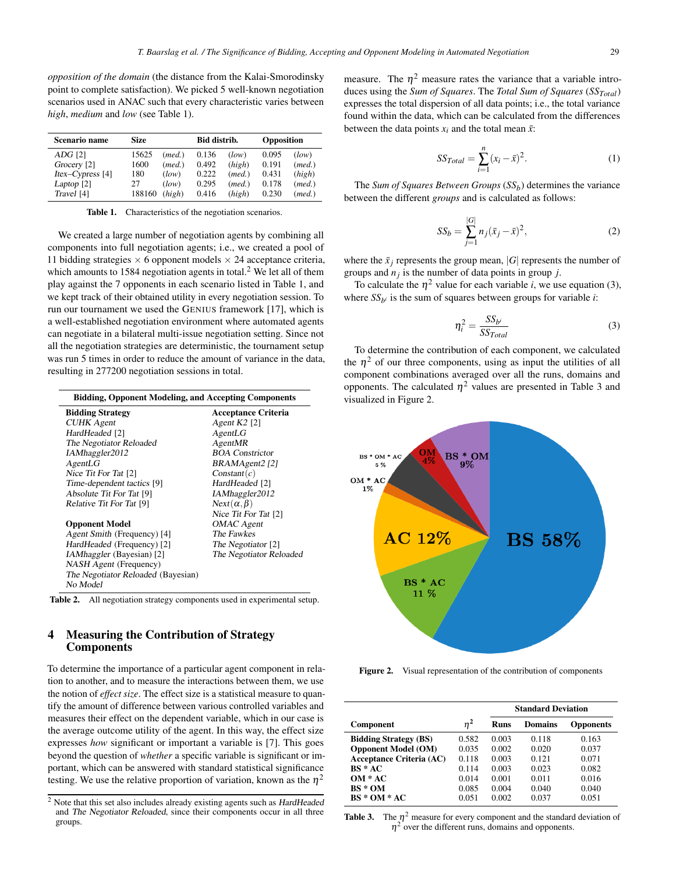*opposition of the domain* (the distance from the Kalai-Smorodinsky point to complete satisfaction). We picked 5 well-known negotiation scenarios used in ANAC such that every characteristic varies between *high*, *medium* and *low* (see Table 1).

| <b>Scenario name</b>  | <b>Size</b> |        | Bid distrib. |        | <b>Opposition</b> |        |
|-----------------------|-------------|--------|--------------|--------|-------------------|--------|
| ADG [2]               | 15625       | (med.) | 0.136        | (low)  | 0.095             | (low)  |
| Grocery [2]           | 1600        | (med.) | 0.492        | (high) | 0.191             | (med.) |
| $It ex-Cypress$ [4]   | 180         | (low)  | 0.222        | (med.) | 0.431             | (high) |
| Laptop <sup>[2]</sup> | 27          | (low)  | 0.295        | (med.) | 0.178             | (med.) |
| Travel [4]            | 188160      | (high) | 0.416        | (high) | 0.230             | (med.) |

Table 1. Characteristics of the negotiation scenarios.

We created a large number of negotiation agents by combining all components into full negotiation agents; i.e., we created a pool of 11 bidding strategies  $\times$  6 opponent models  $\times$  24 acceptance criteria, which amounts to 1584 negotiation agents in total.<sup>2</sup> We let all of them play against the 7 opponents in each scenario listed in Table 1, and we kept track of their obtained utility in every negotiation session. To run our tournament we used the GENIUS framework [17], which is a well-established negotiation environment where automated agents can negotiate in a bilateral multi-issue negotiation setting. Since not all the negotiation strategies are deterministic, the tournament setup was run 5 times in order to reduce the amount of variance in the data, resulting in 277200 negotiation sessions in total.

| <b>Bidding, Opponent Modeling, and Accepting Components</b> |                            |  |  |  |
|-------------------------------------------------------------|----------------------------|--|--|--|
| <b>Bidding Strategy</b>                                     | <b>Acceptance Criteria</b> |  |  |  |
| <b>CUHK</b> Agent                                           | Agent $K2$ [2]             |  |  |  |
| HardHeaded [2]                                              | $A$ gent $LG$              |  |  |  |
| The Negotiator Reloaded                                     | AgentMR                    |  |  |  |
| IAMhaggler2012                                              | <b>BOA</b> Constrictor     |  |  |  |
| AgentLG                                                     | BRAMAgent2 [2]             |  |  |  |
| Nice Tit For Tat [2]                                        | Constant(c)                |  |  |  |
| Time-dependent tactics [9]                                  | HardHeaded [2]             |  |  |  |
| Absolute Tit For Tat [9]                                    | IAMhaggler2012             |  |  |  |
| Relative Tit For Tat [9]                                    | $Next(\alpha, \beta)$      |  |  |  |
|                                                             | Nice Tit For Tat [2]       |  |  |  |
| <b>Opponent Model</b>                                       | <b>OMAC</b> Agent          |  |  |  |
| Agent Smith (Frequency) [4]                                 | The Fawkes                 |  |  |  |
| HardHeaded (Frequency) [2]                                  | The Negotiator [2]         |  |  |  |
| <i><b>IAMhaggler</b></i> (Bayesian) [2]                     | The Negotiator Reloaded    |  |  |  |
| <b>NASH</b> Agent (Frequency)                               |                            |  |  |  |
| The Negotiator Reloaded (Bayesian)                          |                            |  |  |  |
| No Model                                                    |                            |  |  |  |

Table 2. All negotiation strategy components used in experimental setup.

# 4 Measuring the Contribution of Strategy Components

To determine the importance of a particular agent component in relation to another, and to measure the interactions between them, we use the notion of *effect size*. The effect size is a statistical measure to quantify the amount of difference between various controlled variables and measures their effect on the dependent variable, which in our case is the average outcome utility of the agent. In this way, the effect size expresses *how* significant or important a variable is [7]. This goes beyond the question of *whether* a specific variable is significant or important, which can be answered with standard statistical significance testing. We use the relative proportion of variation, known as the  $\eta^2$ 

measure. The  $\eta^2$  measure rates the variance that a variable introduces using the *Sum of Squares*. The *Total Sum of Squares* (*SSTotal*) expresses the total dispersion of all data points; i.e., the total variance found within the data, which can be calculated from the differences between the data points  $x_i$  and the total mean  $\bar{x}$ :

$$
SS_{Total} = \sum_{i=1}^{n} (x_i - \bar{x})^2.
$$
 (1)

The *Sum of Squares Between Groups*  $(SS_b)$  determines the variance between the different *groups* and is calculated as follows:

$$
SS_b = \sum_{j=1}^{|G|} n_j (\bar{x}_j - \bar{x})^2,
$$
 (2)

where the  $\bar{x}_i$  represents the group mean, |*G*| represents the number of groups and  $n_j$  is the number of data points in group *j*.

To calculate the  $\eta^2$  value for each variable *i*, we use equation (3), where  $SS_{h^i}$  is the sum of squares between groups for variable *i*:

$$
\eta_i^2 = \frac{SS_{b^i}}{SS_{Total}}\tag{3}
$$

To determine the contribution of each component, we calculated the  $\eta^2$  of our three components, using as input the utilities of all component combinations averaged over all the runs, domains and opponents. The calculated  $\eta^2$  values are presented in Table 3 and visualized in Figure 2.



Figure 2. Visual representation of the contribution of components

|                                 |                | <b>Standard Deviation</b> |                |                  |
|---------------------------------|----------------|---------------------------|----------------|------------------|
| Component                       | n <sup>2</sup> | <b>Runs</b>               | <b>Domains</b> | <b>Opponents</b> |
| <b>Bidding Strategy (BS)</b>    | 0.582          | 0.003                     | 0.118          | 0.163            |
| <b>Opponent Model (OM)</b>      | 0.035          | 0.002                     | 0.020          | 0.037            |
| <b>Acceptance Criteria (AC)</b> | 0.118          | 0.003                     | 0.121          | 0.071            |
| $BS * AC$                       | 0.114          | 0.003                     | 0.023          | 0.082            |
| $OM*AC$                         | 0.014          | 0.001                     | 0.011          | 0.016            |
| BS * OM                         | 0.085          | 0.004                     | 0.040          | 0.040            |
| $BS * OM * AC$                  | 0.051          | 0.002                     | 0.037          | 0.051            |

**Table 3.** The  $\eta^2$  measure for every component and the standard deviation of  $\eta^2$  over the different runs, domains and opponents.

<sup>2</sup> Note that this set also includes already existing agents such as *HardHeaded* and *The Negotiator Reloaded*, since their components occur in all three groups.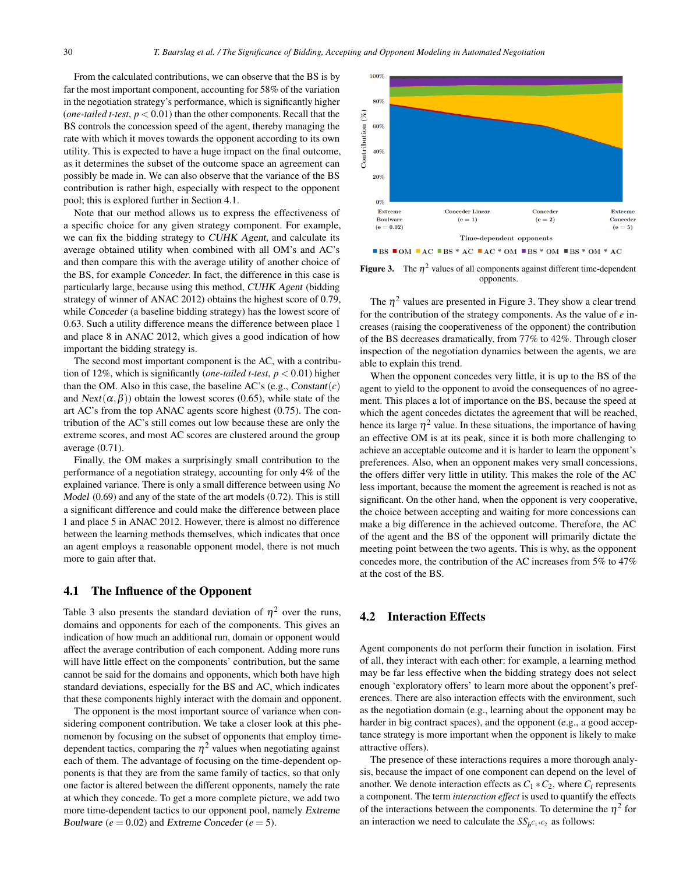From the calculated contributions, we can observe that the BS is by far the most important component, accounting for 58% of the variation in the negotiation strategy's performance, which is significantly higher (*one-tailed t-test*,  $p < 0.01$ ) than the other components. Recall that the BS controls the concession speed of the agent, thereby managing the rate with which it moves towards the opponent according to its own utility. This is expected to have a huge impact on the final outcome, as it determines the subset of the outcome space an agreement can possibly be made in. We can also observe that the variance of the BS contribution is rather high, especially with respect to the opponent pool; this is explored further in Section 4.1.

Note that our method allows us to express the effectiveness of a specific choice for any given strategy component. For example, we can fix the bidding strategy to *CUHK Agent*, and calculate its average obtained utility when combined with all OM's and AC's and then compare this with the average utility of another choice of the BS, for example *Conceder*. In fact, the difference in this case is particularly large, because using this method, *CUHK Agent* (bidding strategy of winner of ANAC 2012) obtains the highest score of 0.79, while *Conceder* (a baseline bidding strategy) has the lowest score of 0.63. Such a utility difference means the difference between place 1 and place 8 in ANAC 2012, which gives a good indication of how important the bidding strategy is.

The second most important component is the AC, with a contribution of 12%, which is significantly (*one-tailed t-test*, *p* < 0.01) higher than the OM. Also in this case, the baseline AC's (e.g., *Constant*(*c*) and  $Next(\alpha, \beta)$ ) obtain the lowest scores (0.65), while state of the art AC's from the top ANAC agents score highest (0.75). The contribution of the AC's still comes out low because these are only the extreme scores, and most AC scores are clustered around the group average (0.71).

Finally, the OM makes a surprisingly small contribution to the performance of a negotiation strategy, accounting for only 4% of the explained variance. There is only a small difference between using *No Model* (0.69) and any of the state of the art models (0.72). This is still a significant difference and could make the difference between place 1 and place 5 in ANAC 2012. However, there is almost no difference between the learning methods themselves, which indicates that once an agent employs a reasonable opponent model, there is not much more to gain after that.

#### 4.1 The Influence of the Opponent

Table 3 also presents the standard deviation of  $\eta^2$  over the runs, domains and opponents for each of the components. This gives an indication of how much an additional run, domain or opponent would affect the average contribution of each component. Adding more runs will have little effect on the components' contribution, but the same cannot be said for the domains and opponents, which both have high standard deviations, especially for the BS and AC, which indicates that these components highly interact with the domain and opponent.

The opponent is the most important source of variance when considering component contribution. We take a closer look at this phenomenon by focusing on the subset of opponents that employ timedependent tactics, comparing the  $\eta^2$  values when negotiating against each of them. The advantage of focusing on the time-dependent opponents is that they are from the same family of tactics, so that only one factor is altered between the different opponents, namely the rate at which they concede. To get a more complete picture, we add two more time-dependent tactics to our opponent pool, namely *Extreme Boulware* ( $e = 0.02$ ) and *Extreme Conceder* ( $e = 5$ ).



**Figure 3.** The  $\eta^2$  values of all components against different time-dependent opponents.

The  $\eta^2$  values are presented in Figure 3. They show a clear trend for the contribution of the strategy components. As the value of *e* increases (raising the cooperativeness of the opponent) the contribution of the BS decreases dramatically, from 77% to 42%. Through closer inspection of the negotiation dynamics between the agents, we are able to explain this trend.

When the opponent concedes very little, it is up to the BS of the agent to yield to the opponent to avoid the consequences of no agreement. This places a lot of importance on the BS, because the speed at which the agent concedes dictates the agreement that will be reached, hence its large  $\eta^2$  value. In these situations, the importance of having an effective OM is at its peak, since it is both more challenging to achieve an acceptable outcome and it is harder to learn the opponent's preferences. Also, when an opponent makes very small concessions, the offers differ very little in utility. This makes the role of the AC less important, because the moment the agreement is reached is not as significant. On the other hand, when the opponent is very cooperative, the choice between accepting and waiting for more concessions can make a big difference in the achieved outcome. Therefore, the AC of the agent and the BS of the opponent will primarily dictate the meeting point between the two agents. This is why, as the opponent concedes more, the contribution of the AC increases from 5% to 47% at the cost of the BS.

## 4.2 Interaction Effects

Agent components do not perform their function in isolation. First of all, they interact with each other: for example, a learning method may be far less effective when the bidding strategy does not select enough 'exploratory offers' to learn more about the opponent's preferences. There are also interaction effects with the environment, such as the negotiation domain (e.g., learning about the opponent may be harder in big contract spaces), and the opponent (e.g., a good acceptance strategy is more important when the opponent is likely to make attractive offers).

The presence of these interactions requires a more thorough analysis, because the impact of one component can depend on the level of another. We denote interaction effects as  $C_1 * C_2$ , where  $C_i$  represents a component. The term *interaction effect* is used to quantify the effects of the interactions between the components. To determine the  $\eta^2$  for an interaction we need to calculate the  $SS_bC_1 * C_2$  as follows: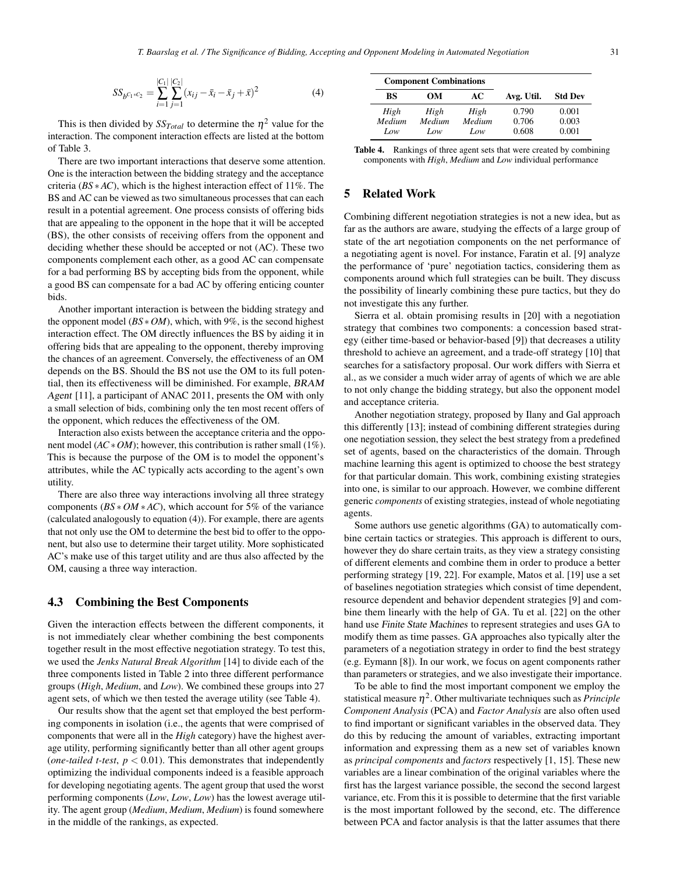$$
SS_{b^{C_1+C_2}} = \sum_{i=1}^{|C_1|} \sum_{j=1}^{|C_2|} (x_{ij} - \bar{x}_{i} - \bar{x}_{j} + \bar{x})^2
$$
(4)

This is then divided by  $SS_{Total}$  to determine the  $\eta^2$  value for the interaction. The component interaction effects are listed at the bottom of Table 3.

There are two important interactions that deserve some attention. One is the interaction between the bidding strategy and the acceptance criteria (*BS* ∗*AC*), which is the highest interaction effect of 11%. The BS and AC can be viewed as two simultaneous processes that can each result in a potential agreement. One process consists of offering bids that are appealing to the opponent in the hope that it will be accepted (BS), the other consists of receiving offers from the opponent and deciding whether these should be accepted or not (AC). These two components complement each other, as a good AC can compensate for a bad performing BS by accepting bids from the opponent, while a good BS can compensate for a bad AC by offering enticing counter bids.

Another important interaction is between the bidding strategy and the opponent model (*BS* ∗*OM*), which, with 9%, is the second highest interaction effect. The OM directly influences the BS by aiding it in offering bids that are appealing to the opponent, thereby improving the chances of an agreement. Conversely, the effectiveness of an OM depends on the BS. Should the BS not use the OM to its full potential, then its effectiveness will be diminished. For example, *BRAM Agent* [11], a participant of ANAC 2011, presents the OM with only a small selection of bids, combining only the ten most recent offers of the opponent, which reduces the effectiveness of the OM.

Interaction also exists between the acceptance criteria and the opponent model (*AC*∗*OM*); however, this contribution is rather small (1%). This is because the purpose of the OM is to model the opponent's attributes, while the AC typically acts according to the agent's own utility.

There are also three way interactions involving all three strategy components (*BS* ∗ *OM* ∗*AC*), which account for 5% of the variance (calculated analogously to equation (4)). For example, there are agents that not only use the OM to determine the best bid to offer to the opponent, but also use to determine their target utility. More sophisticated AC's make use of this target utility and are thus also affected by the OM, causing a three way interaction.

# 4.3 Combining the Best Components

Given the interaction effects between the different components, it is not immediately clear whether combining the best components together result in the most effective negotiation strategy. To test this, we used the *Jenks Natural Break Algorithm* [14] to divide each of the three components listed in Table 2 into three different performance groups (*High*, *Medium*, and *Low*). We combined these groups into 27 agent sets, of which we then tested the average utility (see Table 4).

Our results show that the agent set that employed the best performing components in isolation (i.e., the agents that were comprised of components that were all in the *High* category) have the highest average utility, performing significantly better than all other agent groups (*one-tailed t-test*,  $p < 0.01$ ). This demonstrates that independently optimizing the individual components indeed is a feasible approach for developing negotiating agents. The agent group that used the worst performing components (*Low*, *Low*, *Low*) has the lowest average utility. The agent group (*Medium*, *Medium*, *Medium*) is found somewhere in the middle of the rankings, as expected.

| <b>Component Combinations</b> |        |        |            |                |
|-------------------------------|--------|--------|------------|----------------|
| BS                            | OМ     | AC     | Avg. Util. | <b>Std Dev</b> |
| High                          | High   | High   | 0.790      | 0.001          |
| Medium                        | Medium | Medium | 0.706      | 0.003          |
| Low                           | Low    | Low    | 0.608      | 0.001          |

| Table 4. | Rankings of three agent sets that were created by combining                       |  |
|----------|-----------------------------------------------------------------------------------|--|
|          | components with <i>High</i> , <i>Medium</i> and <i>Low</i> individual performance |  |

#### 5 Related Work

Combining different negotiation strategies is not a new idea, but as far as the authors are aware, studying the effects of a large group of state of the art negotiation components on the net performance of a negotiating agent is novel. For instance, Faratin et al. [9] analyze the performance of 'pure' negotiation tactics, considering them as components around which full strategies can be built. They discuss the possibility of linearly combining these pure tactics, but they do not investigate this any further.

Sierra et al. obtain promising results in [20] with a negotiation strategy that combines two components: a concession based strategy (either time-based or behavior-based [9]) that decreases a utility threshold to achieve an agreement, and a trade-off strategy [10] that searches for a satisfactory proposal. Our work differs with Sierra et al., as we consider a much wider array of agents of which we are able to not only change the bidding strategy, but also the opponent model and acceptance criteria.

Another negotiation strategy, proposed by Ilany and Gal approach this differently [13]; instead of combining different strategies during one negotiation session, they select the best strategy from a predefined set of agents, based on the characteristics of the domain. Through machine learning this agent is optimized to choose the best strategy for that particular domain. This work, combining existing strategies into one, is similar to our approach. However, we combine different generic *components* of existing strategies, instead of whole negotiating agents.

Some authors use genetic algorithms (GA) to automatically combine certain tactics or strategies. This approach is different to ours, however they do share certain traits, as they view a strategy consisting of different elements and combine them in order to produce a better performing strategy [19, 22]. For example, Matos et al. [19] use a set of baselines negotiation strategies which consist of time dependent, resource dependent and behavior dependent strategies [9] and combine them linearly with the help of GA. Tu et al. [22] on the other hand use *Finite State Machines* to represent strategies and uses GA to modify them as time passes. GA approaches also typically alter the parameters of a negotiation strategy in order to find the best strategy (e.g. Eymann [8]). In our work, we focus on agent components rather than parameters or strategies, and we also investigate their importance.

To be able to find the most important component we employ the statistical measure  $\eta^2$ . Other multivariate techniques such as *Principle Component Analysis* (PCA) and *Factor Analysis* are also often used to find important or significant variables in the observed data. They do this by reducing the amount of variables, extracting important information and expressing them as a new set of variables known as *principal components* and *factors* respectively [1, 15]. These new variables are a linear combination of the original variables where the first has the largest variance possible, the second the second largest variance, etc. From this it is possible to determine that the first variable is the most important followed by the second, etc. The difference between PCA and factor analysis is that the latter assumes that there